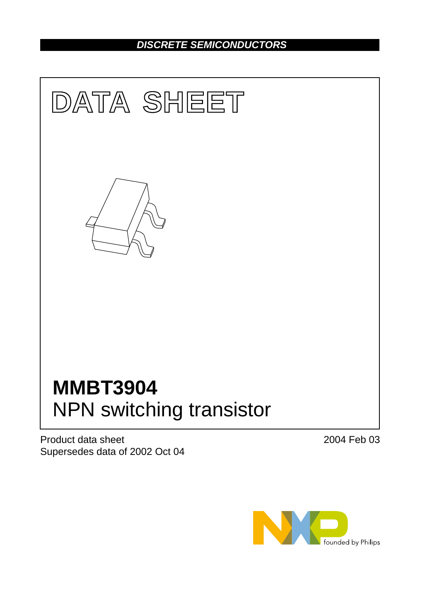# *DISCRETE SEMICONDUCTORS*



Product data sheet Supersedes data of 2002 Oct 04 2004 Feb 03

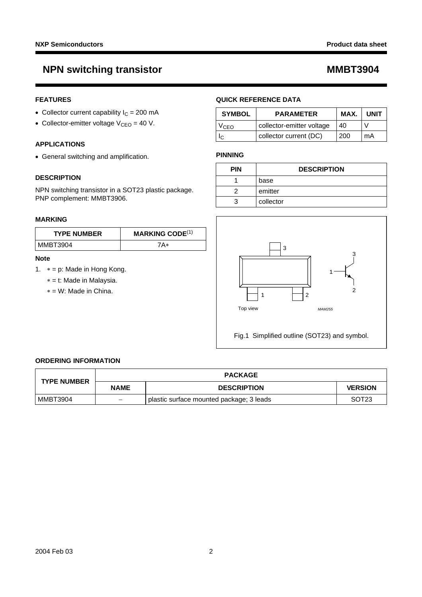# **NPN switching transistor MMBT3904**

## **FEATURES**

- Collector current capability  $I_C = 200$  mA
- Collector-emitter voltage  $V_{CEO} = 40 V$ .

## **APPLICATIONS**

• General switching and amplification.

## **DESCRIPTION**

NPN switching transistor in a SOT23 plastic package. PNP complement: MMBT3906.

### **MARKING**

| <b>TYPE NUMBER</b> | <b>MARKING CODE</b> $(1)$ |
|--------------------|---------------------------|
| MMBT3904           | 7A*                       |

### **Note**

- <span id="page-1-0"></span>1. ∗ = p: Made in Hong Kong.
	- ∗ = t: Made in Malaysia.
	- ∗ = W: Made in China.

## **QUICK REFERENCE DATA**

| <b>SYMBOL</b> | <b>PARAMETER</b>          | MAX. | <b>UNIT</b> |
|---------------|---------------------------|------|-------------|
| VcFo          | collector-emitter voltage | 40   |             |
|               | collector current (DC)    | 200  | mA          |

### **PINNING**

| <b>PIN</b> | <b>DESCRIPTION</b> |
|------------|--------------------|
|            | base               |
|            | emitter            |
|            | collector          |



Fig.1 Simplified outline (SOT23) and symbol.

### **ORDERING INFORMATION**

| <b>TYPE NUMBER</b> |                          | <b>PACKAGE</b>                           |                   |  |
|--------------------|--------------------------|------------------------------------------|-------------------|--|
|                    | <b>NAME</b>              | <b>DESCRIPTION</b>                       | <b>VERSION</b>    |  |
| MMBT3904           | $\overline{\phantom{m}}$ | plastic surface mounted package; 3 leads | SOT <sub>23</sub> |  |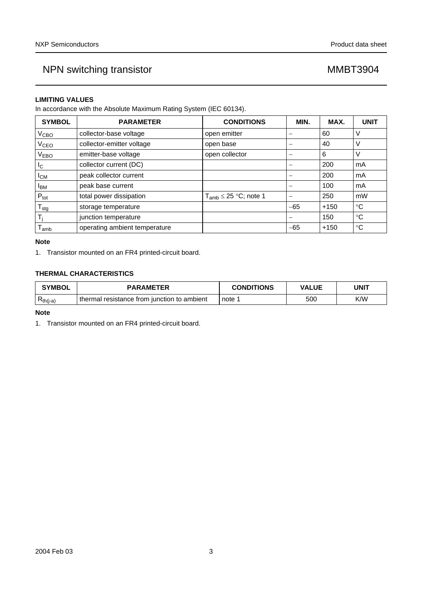## **LIMITING VALUES**

In accordance with the Absolute Maximum Rating System (IEC 60134).

| <b>SYMBOL</b>                        | <b>PARAMETER</b>              | <b>CONDITIONS</b>             | MIN.  | MAX.   | <b>UNIT</b> |
|--------------------------------------|-------------------------------|-------------------------------|-------|--------|-------------|
| V <sub>CBO</sub>                     | collector-base voltage        | open emitter                  |       | 60     | V           |
| V <sub>CEO</sub>                     | collector-emitter voltage     | open base                     |       | 40     | ν           |
| V <sub>EBO</sub>                     | emitter-base voltage          | open collector                |       | 6      | V           |
| I <sub>C</sub>                       | collector current (DC)        |                               |       | 200    | mA          |
| $I_{CM}$                             | peak collector current        |                               |       | 200    | mA          |
| peak base current<br><sup>I</sup> BM |                               |                               |       | 100    | mA          |
| $P_{\text{tot}}$                     | total power dissipation       | $T_{amb} \leq 25 °C$ ; note 1 |       | 250    | mW          |
| $T_{\text{stg}}$                     | storage temperature           |                               | $-65$ | $+150$ | $^{\circ}C$ |
|                                      | junction temperature          |                               |       | 150    | ℃           |
| l amb                                | operating ambient temperature |                               | $-65$ | $+150$ | $^{\circ}C$ |

## **Note**

<span id="page-2-0"></span>1. Transistor mounted on an FR4 printed-circuit board.

# **THERMAL CHARACTERISTICS**

| <b>SYMBOL</b>      | <b>PARAMETER</b>                               | <b>CONDITIONS</b> | <b>VALUE</b> | <b>UNIT</b> |
|--------------------|------------------------------------------------|-------------------|--------------|-------------|
| ∽<br>$R_{th(j-a)}$ | resistance from iunction to ambient<br>thermal | note              | 500          | K/W         |

### **Note**

<span id="page-2-1"></span>1. Transistor mounted on an FR4 printed-circuit board.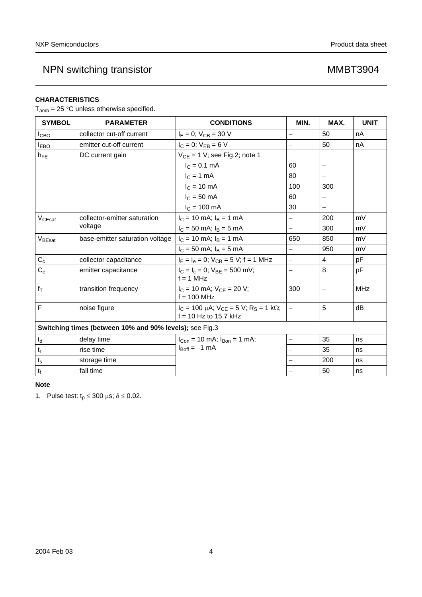# **CHARACTERISTICS**

 $T_{amb} = 25$  °C unless otherwise specified.

| <b>SYMBOL</b>                                           | <b>PARAMETER</b>                | <b>CONDITIONS</b>                                                                   | MIN.                     | MAX.                     | <b>UNIT</b> |
|---------------------------------------------------------|---------------------------------|-------------------------------------------------------------------------------------|--------------------------|--------------------------|-------------|
| I <sub>СВО</sub>                                        | collector cut-off current       | $I_E = 0$ ; $V_{CB} = 30$ V                                                         | $\overline{\phantom{0}}$ | 50                       | nA          |
| <b>IEBO</b>                                             | emitter cut-off current         | $I_C = 0$ ; $V_{EB} = 6 V$                                                          | $\overline{\phantom{0}}$ | 50                       | nA          |
| $h_{FE}$                                                | DC current gain                 | $V_{CE}$ = 1 V; see Fig.2; note 1                                                   |                          |                          |             |
|                                                         |                                 | $I_C = 0.1$ mA                                                                      | 60                       | —                        |             |
|                                                         |                                 | $IC = 1 mA$                                                                         | 80                       |                          |             |
|                                                         |                                 | $IC = 10 mA$                                                                        | 100                      | 300                      |             |
|                                                         |                                 | $IC$ = 50 mA                                                                        | 60                       |                          |             |
|                                                         |                                 | $I_C = 100$ mA                                                                      | 30                       |                          |             |
| V <sub>CEsat</sub>                                      | collector-emitter saturation    | $I_C = 10$ mA; $I_B = 1$ mA                                                         | $\equiv$                 | 200                      | mV          |
|                                                         | voltage                         | $I_C = 50$ mA; $I_B = 5$ mA                                                         | $=$                      | 300                      | mV          |
| $V_{\text{BEsat}}$                                      | base-emitter saturation voltage | $I_C = 10$ mA; $I_B = 1$ mA                                                         | 650                      | 850                      | mV          |
|                                                         |                                 | $I_C = 50$ mA; $I_B = 5$ mA                                                         | $\overline{\phantom{0}}$ | 950                      | mV          |
| $C_c$                                                   | collector capacitance           | $I_E = I_e = 0$ ; $V_{CB} = 5$ V; f = 1 MHz                                         | $\equiv$                 | 4                        | pF          |
| $C_{e}$                                                 | emitter capacitance             | $I_C = I_c = 0$ ; $V_{BE} = 500$ mV;<br>$f = 1$ MHz                                 | $\overline{\phantom{0}}$ | 8                        | pF          |
| $f_T$                                                   | transition frequency            | $I_C = 10$ mA; $V_{CE} = 20$ V;<br>$f = 100$ MHz                                    | 300                      | $\overline{\phantom{0}}$ | <b>MHz</b>  |
| F                                                       | noise figure                    | $I_C = 100 \mu A$ ; $V_{CE} = 5 V$ ; $R_S = 1 k\Omega$ ;<br>$f = 10$ Hz to 15.7 kHz | $\equiv$                 | 5                        | dB          |
| Switching times (between 10% and 90% levels); see Fig.3 |                                 |                                                                                     |                          |                          |             |
| $\mathfrak{t}_{\sf d}$                                  | delay time                      | $I_{Con}$ = 10 mA; $I_{Bon}$ = 1 mA;                                                | $\equiv$                 | 35                       | ns          |
| $\mathsf{t}_{\mathsf{r}}$                               | rise time                       | $I_{\text{Boff}} = -1$ mA                                                           | $\overline{\phantom{0}}$ | 35                       | ns          |
| $t_{\rm s}$                                             | storage time                    |                                                                                     | $\equiv$                 | 200                      | ns          |
| $\mathfrak{t}_{\mathfrak{f}}$                           | fall time                       |                                                                                     | $\equiv$                 | 50                       | ns          |

## **Note**

<span id="page-3-0"></span>1. Pulse test:  $t_p \le 300 \text{ }\mu\text{s}; \delta \le 0.02$ .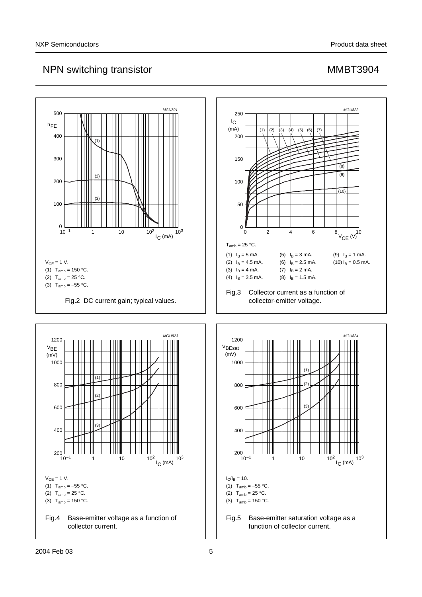<span id="page-4-1"></span><span id="page-4-0"></span>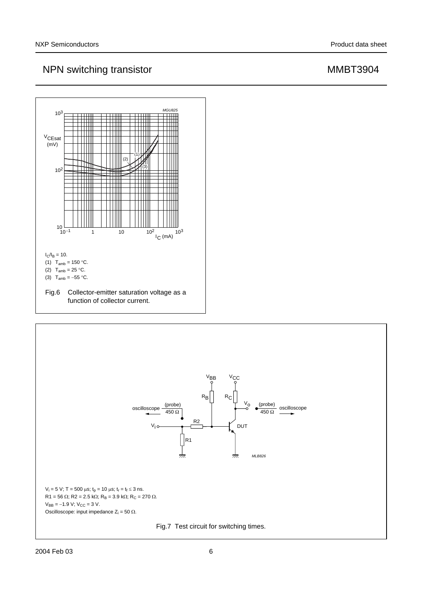

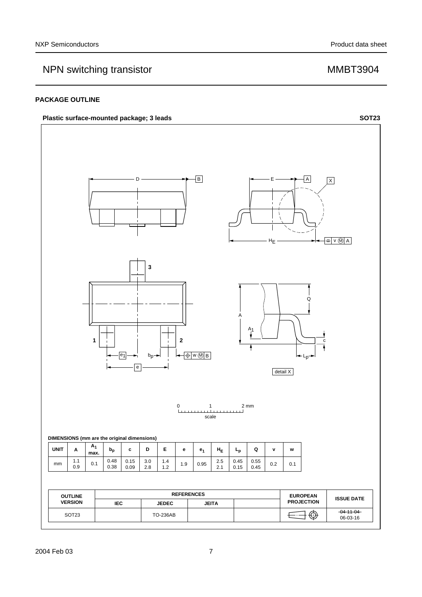## **PACKAGE OUTLINE**

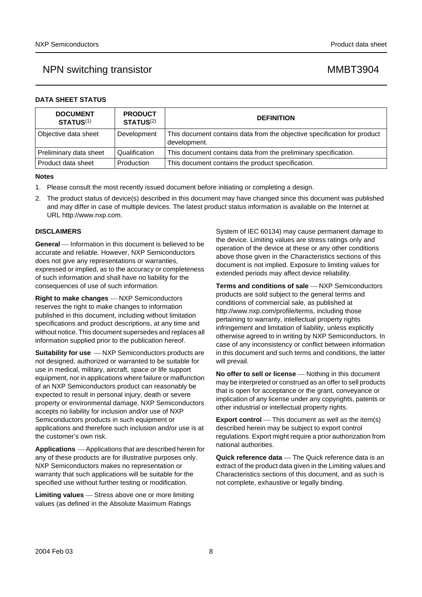| DATA SHEET STATUS |  |
|-------------------|--|
|-------------------|--|

| <b>DOCUMENT</b><br><b>STATUS(1)</b> | <b>PRODUCT</b><br><b>STATUS(2)</b> | <b>DEFINITION</b>                                                                        |
|-------------------------------------|------------------------------------|------------------------------------------------------------------------------------------|
| Objective data sheet                | Development                        | This document contains data from the objective specification for product<br>development. |
| Preliminary data sheet              | Qualification                      | This document contains data from the preliminary specification.                          |
| l Product data sheet                | Production                         | This document contains the product specification.                                        |

### **Notes**

- <span id="page-7-0"></span>1. Please consult the most recently issued document before initiating or completing a design.
- <span id="page-7-1"></span>2. The product status of device(s) described in this document may have changed since this document was published and may differ in case of multiple devices. The latest product status information is available on the Internet at URL http://www.nxp.com.

### **DISCLAIMERS**

**General** — Information in this document is believed to be accurate and reliable. However, NXP Semiconductors does not give any representations or warranties, expressed or implied, as to the accuracy or completeness of such information and shall have no liability for the consequences of use of such information.

**Right to make changes** - NXP Semiconductors reserves the right to make changes to information published in this document, including without limitation specifications and product descriptions, at any time and without notice. This document supersedes and replaces all information supplied prior to the publication hereof.

**Suitability for use**  $-MXP$  Semiconductors products are not designed, authorized or warranted to be suitable for use in medical, military, aircraft, space or life support equipment, nor in applications where failure or malfunction of an NXP Semiconductors product can reasonably be expected to result in personal injury, death or severe property or environmental damage. NXP Semiconductors accepts no liability for inclusion and/or use of NXP Semiconductors products in such equipment or applications and therefore such inclusion and/or use is at the customer's own risk.

**Applications** ⎯ Applications that are described herein for any of these products are for illustrative purposes only. NXP Semiconductors makes no representation or warranty that such applications will be suitable for the specified use without further testing or modification.

**Limiting values** – Stress above one or more limiting values (as defined in the Absolute Maximum Ratings

System of IEC 60134) may cause permanent damage to the device. Limiting values are stress ratings only and operation of the device at these or any other conditions above those given in the Characteristics sections of this document is not implied. Exposure to limiting values for extended periods may affect device reliability.

**Terms and conditions of sale** - NXP Semiconductors products are sold subject to the general terms and conditions of commercial sale, as published at http://www.nxp.com/profile/terms, including those pertaining to warranty, intellectual property rights infringement and limitation of liability, unless explicitly [otherwise agreed to in writing by NXP Semiconductors. In](http://www.nxp.com/profile/terms)  case of any inconsistency or conflict between information in this document and such terms and conditions, the latter will prevail.

**No offer to sell or license** – Nothing in this document may be interpreted or construed as an offer to sell products that is open for acceptance or the grant, conveyance or implication of any license under any copyrights, patents or other industrial or intellectual property rights.

**Export control** — This document as well as the item(s) described herein may be subject to export control regulations. Export might require a prior authorization from national authorities.

**Quick reference data** — The Quick reference data is an extract of the product data given in the Limiting values and Characteristics sections of this document, and as such is not complete, exhaustive or legally binding.